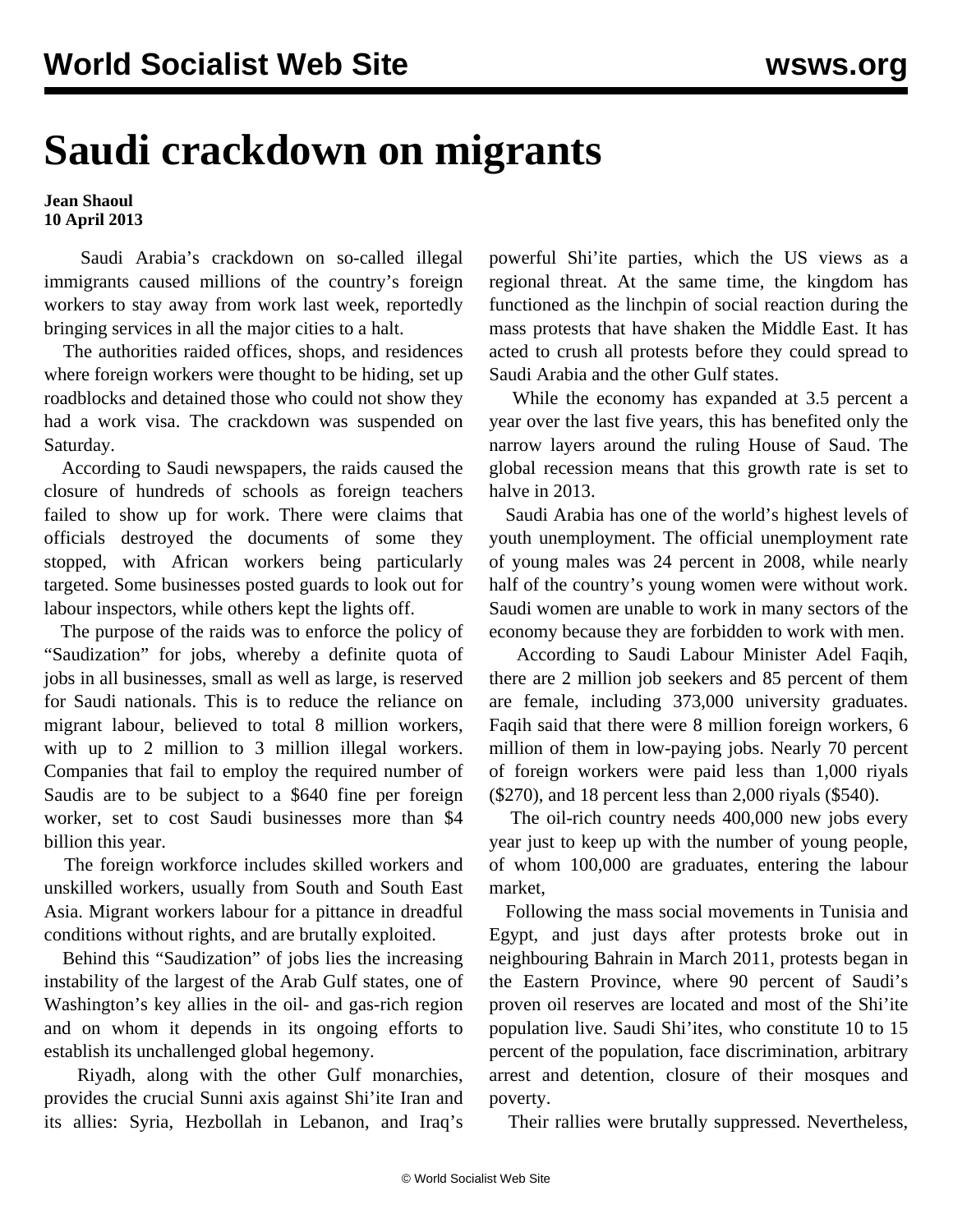## **Saudi crackdown on migrants**

## **Jean Shaoul 10 April 2013**

 Saudi Arabia's crackdown on so-called illegal immigrants caused millions of the country's foreign workers to stay away from work last week, reportedly bringing services in all the major cities to a halt.

 The authorities raided offices, shops, and residences where foreign workers were thought to be hiding, set up roadblocks and detained those who could not show they had a work visa. The crackdown was suspended on Saturday.

 According to Saudi newspapers, the raids caused the closure of hundreds of schools as foreign teachers failed to show up for work. There were claims that officials destroyed the documents of some they stopped, with African workers being particularly targeted. Some businesses posted guards to look out for labour inspectors, while others kept the lights off.

 The purpose of the raids was to enforce the policy of "Saudization" for jobs, whereby a definite quota of jobs in all businesses, small as well as large, is reserved for Saudi nationals. This is to reduce the reliance on migrant labour, believed to total 8 million workers, with up to 2 million to 3 million illegal workers. Companies that fail to employ the required number of Saudis are to be subject to a \$640 fine per foreign worker, set to cost Saudi businesses more than \$4 billion this year.

 The foreign workforce includes skilled workers and unskilled workers, usually from South and South East Asia. Migrant workers labour for a pittance in dreadful conditions without rights, and are brutally exploited.

 Behind this "Saudization" of jobs lies the increasing instability of the largest of the Arab Gulf states, one of Washington's key allies in the oil- and gas-rich region and on whom it depends in its ongoing efforts to establish its unchallenged global hegemony.

 Riyadh, along with the other Gulf monarchies, provides the crucial Sunni axis against Shi'ite Iran and its allies: Syria, Hezbollah in Lebanon, and Iraq's

powerful Shi'ite parties, which the US views as a regional threat. At the same time, the kingdom has functioned as the linchpin of social reaction during the mass protests that have shaken the Middle East. It has acted to crush all protests before they could spread to Saudi Arabia and the other Gulf states.

 While the economy has expanded at 3.5 percent a year over the last five years, this has benefited only the narrow layers around the ruling House of Saud. The global recession means that this growth rate is set to halve in 2013.

 Saudi Arabia has one of the world's highest levels of youth unemployment. The official unemployment rate of young males was 24 percent in 2008, while nearly half of the country's young women were without work. Saudi women are unable to work in many sectors of the economy because they are forbidden to work with men.

 According to Saudi Labour Minister Adel Faqih, there are 2 million job seekers and 85 percent of them are female, including 373,000 university graduates. Faqih said that there were 8 million foreign workers, 6 million of them in low-paying jobs. Nearly 70 percent of foreign workers were paid less than 1,000 riyals (\$270), and 18 percent less than 2,000 riyals (\$540).

 The oil-rich country needs 400,000 new jobs every year just to keep up with the number of young people, of whom 100,000 are graduates, entering the labour market,

 Following the mass social movements in Tunisia and Egypt, and just days after protests broke out in neighbouring Bahrain in March 2011, protests began in the Eastern Province, where 90 percent of Saudi's proven oil reserves are located and most of the Shi'ite population live. Saudi Shi'ites, who constitute 10 to 15 percent of the population, face discrimination, arbitrary arrest and detention, closure of their mosques and poverty.

Their rallies were brutally suppressed. Nevertheless,